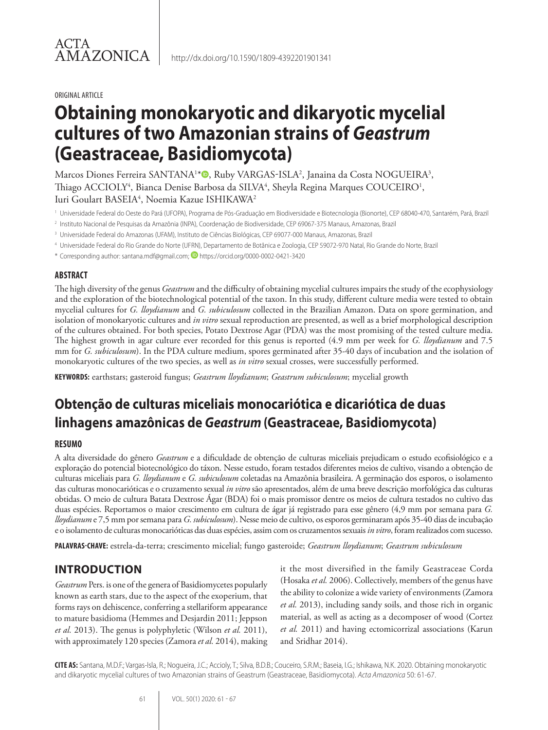#### ORIGINAL ARTICLE

# **Obtaining monokaryotic and dikaryotic mycelial cultures of two Amazonian strains of** *Geastrum*  **(Geastraceae, Basidiomycota)**

Marcos Diones Ferreira SANTANA<sup>1\*</sup>®, Ruby VARGAS-ISLA<sup>2</sup>, Janaina da Costa NOGUEIRA<sup>3</sup>, Thiago ACCIOLY<sup>4</sup>, Bianca Denise Barbosa da SILVA<sup>4</sup>, Sheyla Regina Marques COUCEIRO<sup>1</sup>, Iuri Goulart BASEIA<sup>4</sup>, Noemia Kazue ISHIKAWA<sup>2</sup>

- <sup>1</sup> Universidade Federal do Oeste do Pará (UFOPA), Programa de Pós-Graduação em Biodiversidade e Biotecnologia (Bionorte), CEP 68040-470, Santarém, Pará, Brazil
- <sup>2</sup> Instituto Nacional de Pesquisas da Amazônia (INPA), Coordenação de Biodiversidade, CEP 69067-375 Manaus, Amazonas, Brazil
- <sup>3</sup> Universidade Federal do Amazonas (UFAM), Instituto de Ciências Biológicas, CEP 69077-000 Manaus, Amazonas, Brazil
- <sup>4</sup> Universidade Federal do Rio Grande do Norte (UFRN), Departamento de Botânica e Zoologia, CEP 59072-970 Natal, Rio Grande do Norte, Brazil
- \* Corresponding author: santana.mdf@gmail.com; https://orcid.org/0000-0002-0421-3420

## **ABSTRACT**

The high diversity of the genus *Geastrum* and the difficulty of obtaining mycelial cultures impairs the study of the ecophysiology and the exploration of the biotechnological potential of the taxon. In this study, different culture media were tested to obtain mycelial cultures for *G. lloydianum* and *G. subiculosum* collected in the Brazilian Amazon. Data on spore germination, and isolation of monokaryotic cultures and *in vitro* sexual reproduction are presented, as well as a brief morphological description of the cultures obtained. For both species, Potato Dextrose Agar (PDA) was the most promising of the tested culture media. The highest growth in agar culture ever recorded for this genus is reported (4.9 mm per week for *G. lloydianum* and 7.5 mm for *G. subiculosum*). In the PDA culture medium, spores germinated after 35-40 days of incubation and the isolation of monokaryotic cultures of the two species, as well as *in vitro* sexual crosses, were successfully performed.

**KEYWORDS:** earthstars; gasteroid fungus; *Geastrum lloydianum*; *Geastrum subiculosum*; mycelial growth

# **Obtenção de culturas miceliais monocariótica e dicariótica de duas linhagens amazônicas de** *Geastrum* **(Geastraceae, Basidiomycota)**

## **RESUMO**

A alta diversidade do gênero *Geastrum* e a dificuldade de obtenção de culturas miceliais prejudicam o estudo ecofisiológico e a exploração do potencial biotecnológico do táxon. Nesse estudo, foram testados diferentes meios de cultivo, visando a obtenção de culturas miceliais para *G. lloydianum* e *G. subiculosum* coletadas na Amazônia brasileira. A germinação dos esporos, o isolamento das culturas monocarióticas e o cruzamento sexual *in vitro* são apresentados, além de uma breve descrição morfológica das culturas obtidas. O meio de cultura Batata Dextrose Ágar (BDA) foi o mais promissor dentre os meios de cultura testados no cultivo das duas espécies. Reportamos o maior crescimento em cultura de ágar já registrado para esse gênero (4,9 mm por semana para *G. lloydianum* e 7,5 mm por semana para *G. subiculosum*). Nesse meio de cultivo, os esporos germinaram após 35-40 dias de incubação e o isolamento de culturas monocarióticas das duas espécies, assim com os cruzamentos sexuais *in vitro*, foram realizados com sucesso.

**PALAVRAS-CHAVE:** estrela-da-terra; crescimento micelial; fungo gasteroide; *Geastrum lloydianum*; *Geastrum subiculosum*

# **INTRODUCTION**

*Geastrum* Pers. is one of the genera of Basidiomycetes popularly known as earth stars, due to the aspect of the exoperium, that forms rays on dehiscence, conferring a stellariform appearance to mature basidioma (Hemmes and Desjardin 2011; Jeppson *et al.* 2013). The genus is polyphyletic (Wilson *et al.* 2011), with approximately 120 species (Zamora *et al.* 2014), making it the most diversified in the family Geastraceae Corda (Hosaka *et al.* 2006). Collectively, members of the genus have the ability to colonize a wide variety of environments (Zamora *et al.* 2013), including sandy soils, and those rich in organic material, as well as acting as a decomposer of wood (Cortez *et al.* 2011) and having ectomicorrizal associations (Karun and Sridhar 2014).

**CITE AS:** Santana, M.D.F.; Vargas-Isla, R.; Nogueira, J.C.; Accioly, T.; Silva, B.D.B.; Couceiro, S.R.M.; Baseia, I.G.; Ishikawa, N.K. 2020. Obtaining monokaryotic and dikaryotic mycelial cultures of two Amazonian strains of Geastrum (Geastraceae, Basidiomycota). *Acta Amazonica* 50: 61-67.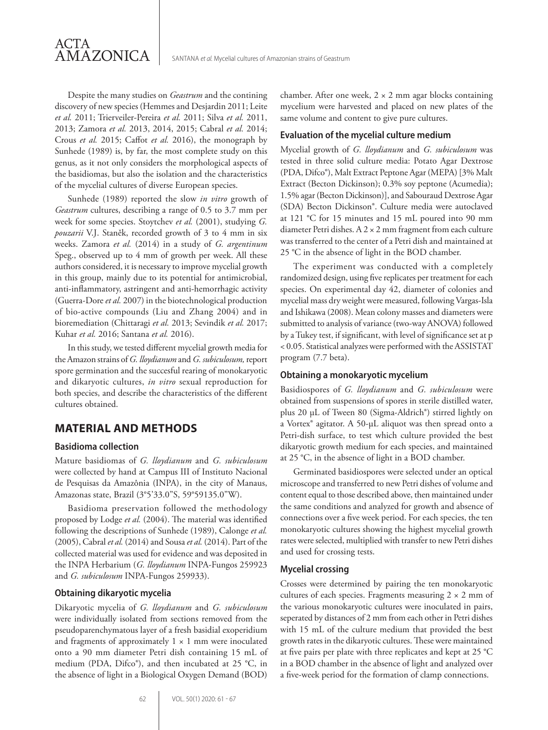Despite the many studies on *Geastrum* and the contining discovery of new species (Hemmes and Desjardin 2011; Leite *et al.* 2011; Trierveiler-Pereira *et al.* 2011; Silva *et al.* 2011, 2013; Zamora *et al.* 2013, 2014, 2015; Cabral *et al.* 2014; Crous *et al.* 2015; Caffot *et al.* 2016), the monograph by Sunhede (1989) is, by far, the most complete study on this genus, as it not only considers the morphological aspects of the basidiomas, but also the isolation and the characteristics of the mycelial cultures of diverse European species.

Sunhede (1989) reported the slow *in vitro* growth of *Geastrum* cultures, describing a range of 0.5 to 3.7 mm per week for some species. Stoytchev *et al.* (2001), studying *G. pouzarii* V.J. Staněk, recorded growth of 3 to 4 mm in six weeks. Zamora *et al.* (2014) in a study of *G. argentinum* Speg., observed up to 4 mm of growth per week. All these authors considered, it is necessary to improve mycelial growth in this group, mainly due to its potential for antimicrobial, anti-inflammatory, astringent and anti-hemorrhagic activity (Guerra-Dore *et al.* 2007) in the biotechnological production of bio-active compounds (Liu and Zhang 2004) and in bioremediation (Chittaragi *et al.* 2013; Sevindik *et al.* 2017; Kuhar *et al.* 2016; Santana *et al.* 2016).

In this study, we tested different mycelial growth media for the Amazon strains of *G. lloydianum* and *G. subiculosum,* report spore germination and the succesful rearing of monokaryotic and dikaryotic cultures, *in vitro* sexual reproduction for both species, and describe the characteristics of the different cultures obtained.

## **MATERIAL AND METHODS**

## **Basidioma collection**

Mature basidiomas of *G. lloydianum* and *G. subiculosum* were collected by hand at Campus III of Instituto Nacional de Pesquisas da Amazônia (INPA), in the city of Manaus, Amazonas state, Brazil (3°5'33.0"S, 59°59135.0"W).

Basidioma preservation followed the methodology proposed by Lodge *et al.* (2004). The material was identified following the descriptions of Sunhede (1989), Calonge *et al.* (2005), Cabral *et al.* (2014) and Sousa *et al.* (2014). Part of the collected material was used for evidence and was deposited in the INPA Herbarium (*G. lloydianum* INPA-Fungos 259923 and *G. subiculosum* INPA-Fungos 259933).

#### **Obtaining dikaryotic mycelia**

Dikaryotic mycelia of *G. lloydianum* and *G. subiculosum* were individually isolated from sections removed from the pseudoparenchymatous layer of a fresh basidial exoperidium and fragments of approximately  $1 \times 1$  mm were inoculated onto a 90 mm diameter Petri dish containing 15 mL of medium (PDA, Difco®), and then incubated at 25 °C, in the absence of light in a Biological Oxygen Demand (BOD) chamber. After one week,  $2 \times 2$  mm agar blocks containing mycelium were harvested and placed on new plates of the same volume and content to give pure cultures.

### **Evaluation of the mycelial culture medium**

Mycelial growth of *G. lloydianum* and *G. subiculosum* was tested in three solid culture media: Potato Agar Dextrose (PDA, Difco®), Malt Extract Peptone Agar (MEPA) [3% Malt Extract (Becton Dickinson); 0.3% soy peptone (Acumedia); 1.5% agar (Becton Dickinson)], and Sabouraud Dextrose Agar (SDA) Becton Dickinson®. Culture media were autoclaved at 121 °C for 15 minutes and 15 mL poured into 90 mm diameter Petri dishes. A 2 × 2 mm fragment from each culture was transferred to the center of a Petri dish and maintained at 25 °C in the absence of light in the BOD chamber.

The experiment was conducted with a completely randomized design, using five replicates per treatment for each species. On experimental day 42, diameter of colonies and mycelial mass dry weight were measured, following Vargas-Isla and Ishikawa (2008). Mean colony masses and diameters were submitted to analysis of variance (two-way ANOVA) followed by a Tukey test, if significant, with level of significance set at p < 0.05. Statistical analyzes were performed with the ASSISTAT program (7.7 beta).

#### **Obtaining a monokaryotic mycelium**

Basidiospores of *G. lloydianum* and *G. subiculosum* were obtained from suspensions of spores in sterile distilled water, plus 20 μL of Tween 80 (Sigma-Aldrich®) stirred lightly on a Vortex® agitator. A 50-μL aliquot was then spread onto a Petri-dish surface, to test which culture provided the best dikaryotic growth medium for each species, and maintained at 25 °C, in the absence of light in a BOD chamber.

Germinated basidiospores were selected under an optical microscope and transferred to new Petri dishes of volume and content equal to those described above, then maintained under the same conditions and analyzed for growth and absence of connections over a five week period. For each species, the ten monokaryotic cultures showing the highest mycelial growth rates were selected, multiplied with transfer to new Petri dishes and used for crossing tests.

## **Mycelial crossing**

Crosses were determined by pairing the ten monokaryotic cultures of each species. Fragments measuring  $2 \times 2$  mm of the various monokaryotic cultures were inoculated in pairs, seperated by distances of 2 mm from each other in Petri dishes with 15 mL of the culture medium that provided the best growth rates in the dikaryotic cultures. These were maintained at five pairs per plate with three replicates and kept at 25 °C in a BOD chamber in the absence of light and analyzed over a five-week period for the formation of clamp connections.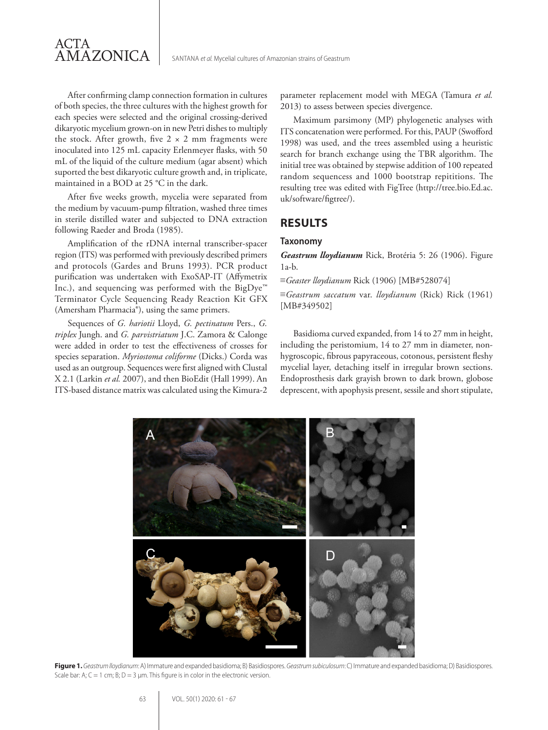

After confirming clamp connection formation in cultures of both species, the three cultures with the highest growth for each species were selected and the original crossing-derived dikaryotic mycelium grown-on in new Petri dishes to multiply the stock. After growth, five  $2 \times 2$  mm fragments were inoculated into 125 mL capacity Erlenmeyer flasks, with 50 mL of the liquid of the culture medium (agar absent) which suported the best dikaryotic culture growth and, in triplicate, maintained in a BOD at 25 °C in the dark.

After five weeks growth, mycelia were separated from the medium by vacuum-pump filtration, washed three times in sterile distilled water and subjected to DNA extraction following Raeder and Broda (1985).

Amplification of the rDNA internal transcriber-spacer region (ITS) was performed with previously described primers and protocols (Gardes and Bruns 1993). PCR product purification was undertaken with ExoSAP-IT (Affymetrix Inc.), and sequencing was performed with the BigDye™ Terminator Cycle Sequencing Ready Reaction Kit GFX (Amersham Pharmacia®), using the same primers.

Sequences of *G. hariotii* Lloyd, *G. pectinatum* Pers., *G. triplex* Jungh. and *G. parvistriatum* J.C. Zamora & Calonge were added in order to test the effectiveness of crosses for species separation. *Myriostoma coliforme* (Dicks.) Corda was used as an outgroup. Sequences were first aligned with Clustal X 2.1 (Larkin *et al.* 2007), and then BioEdit (Hall 1999). An ITS-based distance matrix was calculated using the Kimura-2 parameter replacement model with MEGA (Tamura *et al.* 2013) to assess between species divergence.

Maximum parsimony (MP) phylogenetic analyses with ITS concatenation were performed. For this, PAUP (Swofford 1998) was used, and the trees assembled using a heuristic search for branch exchange using the TBR algorithm. The initial tree was obtained by stepwise addition of 100 repeated random sequencess and 1000 bootstrap repititions. The resulting tree was edited with FigTree (http://tree.bio.Ed.ac. uk/software/figtree/).

## **RESULTS**

#### **Taxonomy**

*Geastrum lloydianum* Rick, Brotéria 5: 26 (1906). Figure 1a-b.

≡*Geaster lloydianum* Rick (1906) [MB#528074]

≡*Geastrum saccatum* var. *lloydianum* (Rick) Rick (1961) [MB#349502]

Basidioma curved expanded, from 14 to 27 mm in height, including the peristomium, 14 to 27 mm in diameter, nonhygroscopic, fibrous papyraceous, cotonous, persistent fleshy mycelial layer, detaching itself in irregular brown sections. Endoprosthesis dark grayish brown to dark brown, globose deprescent, with apophysis present, sessile and short stipulate,



**Figure 1.** *Geastrum lloydianum*: A) Immature and expanded basidioma; B) Basidiospores. *Geastrum subiculosum*: C) Immature and expanded basidioma; D) Basidiospores. Scale bar: A;  $C = 1$  cm; B;  $D = 3$  µm. This figure is in color in the electronic version.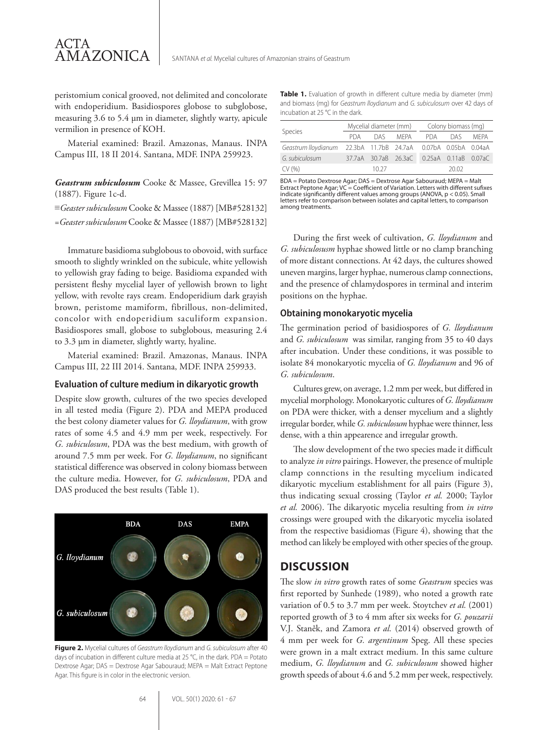peristomium conical grooved, not delimited and concolorate with endoperidium. Basidiospores globose to subglobose, measuring 3.6 to 5.4 μm in diameter, slightly warty, apicule vermilion in presence of KOH.

ACTA

AMAZONICA

Material examined: Brazil. Amazonas, Manaus. INPA Campus III, 18 II 2014. Santana, MDF. INPA 259923.

*Geastrum subiculosum* Cooke & Massee, Grevillea 15: 97 (1887). Figure 1c-d.

≡*Geaster subiculosum* Cooke & Massee (1887) [MB#528132] =*Geaster subiculosum* Cooke & Massee (1887) [MB#528132]

Immature basidioma subglobous to obovoid, with surface smooth to slightly wrinkled on the subicule, white yellowish to yellowish gray fading to beige. Basidioma expanded with persistent fleshy mycelial layer of yellowish brown to light yellow, with revolte rays cream. Endoperidium dark grayish brown, peristome mamiform, fibrillous, non-delimited, concolor with endoperidium saculiform expansion. Basidiospores small, globose to subglobous, measuring 2.4 to 3.3 μm in diameter, slightly warty, hyaline.

Material examined: Brazil. Amazonas, Manaus. INPA Campus III, 22 III 2014. Santana, MDF. INPA 259933.

#### **Evaluation of culture medium in dikaryotic growth**

Despite slow growth, cultures of the two species developed in all tested media (Figure 2). PDA and MEPA produced the best colony diameter values for *G. lloydianum*, with grow rates of some 4.5 and 4.9 mm per week, respectively. For *G. subiculosum*, PDA was the best medium, with growth of around 7.5 mm per week. For *G. lloydianum*, no significant statistical difference was observed in colony biomass between the culture media. However, for *G. subiculosum*, PDA and DAS produced the best results (Table 1).



**Figure 2.** Mycelial cultures of *Geastrum lloydianum* and *G. subiculosum* after 40 days of incubation in different culture media at 25 °C, in the dark. PDA = Potato Dextrose Agar; DAS = Dextrose Agar Sabouraud; MEPA = Malt Extract Peptone Agar. This figure is in color in the electronic version.

| Species                                                       | Mycelial diameter (mm) |       |          | Colony biomass (mg)                       |         |      |
|---------------------------------------------------------------|------------------------|-------|----------|-------------------------------------------|---------|------|
|                                                               | PDA                    |       | DAS MEPA |                                           | PDA DAS | MFPA |
| Geastrum Iloydianum 22.3bA 11.7bB 24.7aA 0.07bA 0.05bA 0.04aA |                        |       |          |                                           |         |      |
| G. subiculosum                                                |                        |       |          | 37.7aA 30.7aB 26.3aC 0.25aA 0.11aB 0.07aC |         |      |
| CV (%)                                                        |                        | 10.27 |          |                                           | 20.02   |      |

BDA = Potato Dextrose Agar; DAS = Dextrose Agar Sabouraud; MEPA = Malt Extract Peptone Agar; VC = Coefficient of Variation. Letters with different sufixes indicate significantly different values among groups (ANOVA, p < 0.05). Small letters refer to comparison between isolates and capital letters, to comparison among treatments.

During the first week of cultivation, *G. lloydianum* and *G. subiculosusm* hyphae showed little or no clamp branching of more distant connections. At 42 days, the cultures showed uneven margins, larger hyphae, numerous clamp connections, and the presence of chlamydospores in terminal and interim positions on the hyphae.

#### **Obtaining monokaryotic mycelia**

The germination period of basidiospores of *G. lloydianum* and *G. subiculosum* was similar, ranging from 35 to 40 days after incubation. Under these conditions, it was possible to isolate 84 monokaryotic mycelia of *G. lloydianum* and 96 of *G. subiculosum*.

Cultures grew, on average, 1.2 mm per week, but differed in mycelial morphology. Monokaryotic cultures of *G. lloydianum* on PDA were thicker, with a denser mycelium and a slightly irregular border, while *G. subiculosum* hyphae were thinner, less dense, with a thin appearence and irregular growth.

The slow development of the two species made it difficult to analyze *in vitro* pairings. However, the presence of multiple clamp connctions in the resulting mycelium indicated dikaryotic mycelium establishment for all pairs (Figure 3), thus indicating sexual crossing (Taylor *et al.* 2000; Taylor *et al.* 2006). The dikaryotic mycelia resulting from *in vitro* crossings were grouped with the dikaryotic mycelia isolated from the respective basidiomas (Figure 4), showing that the method can likely be employed with other species of the group.

## **DISCUSSION**

The slow *in vitro* growth rates of some *Geastrum* species was first reported by Sunhede (1989), who noted a growth rate variation of 0.5 to 3.7 mm per week. Stoytchev *et al.* (2001) reported growth of 3 to 4 mm after six weeks for *G. pouzarii* V.J. Staněk, and Zamora *et al.* (2014) observed growth of 4 mm per week for *G. argentinum* Speg. All these species were grown in a malt extract medium. In this same culture medium, *G. lloydianum* and *G. subiculosum* showed higher growth speeds of about 4.6 and 5.2 mm per week, respectively.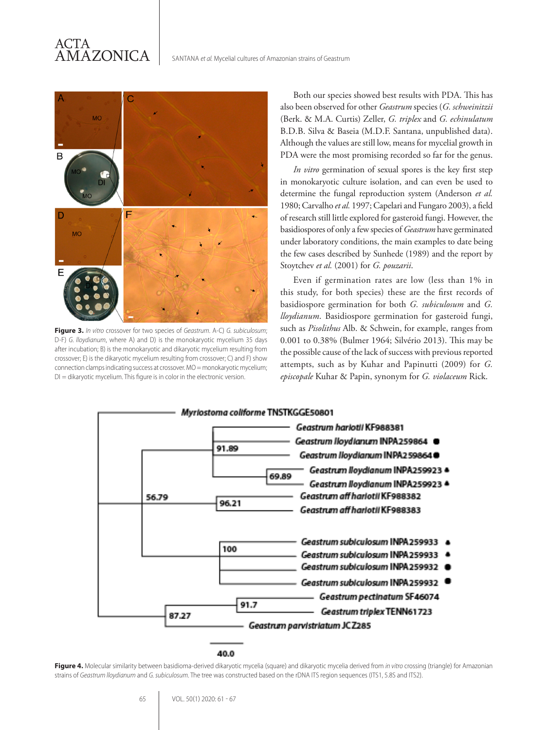# ACTA AMAZONICA



**Figure 3.** *In vitro* crossover for two species of *Geastrum*. A-C) *G. subiculosum*; D-F) *G. lloydianum*, where A) and D) is the monokaryotic mycelium 35 days after incubation; B) is the monokaryotic and dikaryotic mycelium resulting from crossover; E) is the dikaryotic mycelium resulting from crossover; C) and F) show connection clamps indicating success at crossover. MO = monokaryotic mycelium;  $DI = dikaryotic mycellum.$  This figure is in color in the electronic version.

Both our species showed best results with PDA. This has also been observed for other *Geastrum* species (*G. schweinitzii*  (Berk. & M.A. Curtis) Zeller, *G. triplex* and *G. echinulatum* B.D.B. Silva & Baseia (M.D.F. Santana, unpublished data). Although the values are still low, means for mycelial growth in PDA were the most promising recorded so far for the genus.

*In vitro* germination of sexual spores is the key first step in monokaryotic culture isolation, and can even be used to determine the fungal reproduction system (Anderson *et al.* 1980; Carvalho *et al.* 1997; Capelari and Fungaro 2003), a field of research still little explored for gasteroid fungi. However, the basidiospores of only a few species of *Geastrum* have germinated under laboratory conditions, the main examples to date being the few cases described by Sunhede (1989) and the report by Stoytchev *et al.* (2001) for *G. pouzarii*.

Even if germination rates are low (less than 1% in this study, for both species) these are the first records of basidiospore germination for both *G. subiculosum* and *G. lloydianum*. Basidiospore germination for gasteroid fungi, such as *Pisolithus* Alb. & Schwein, for example, ranges from 0.001 to 0.38% (Bulmer 1964; Silvério 2013). This may be the possible cause of the lack of success with previous reported attempts, such as by Kuhar and Papinutti (2009) for *G. episcopale* Kuhar & Papin, synonym for *G. violaceum* Rick.



#### 40.0

**Figure 4.** Molecular similarity between basidioma-derived dikaryotic mycelia (square) and dikaryotic mycelia derived from *in vitro* crossing (triangle) for Amazonian strains of *Geastrum lloydianum* and *G. subiculosum*. The tree was constructed based on the rDNA ITS region sequences (ITS1, 5.8S and ITS2).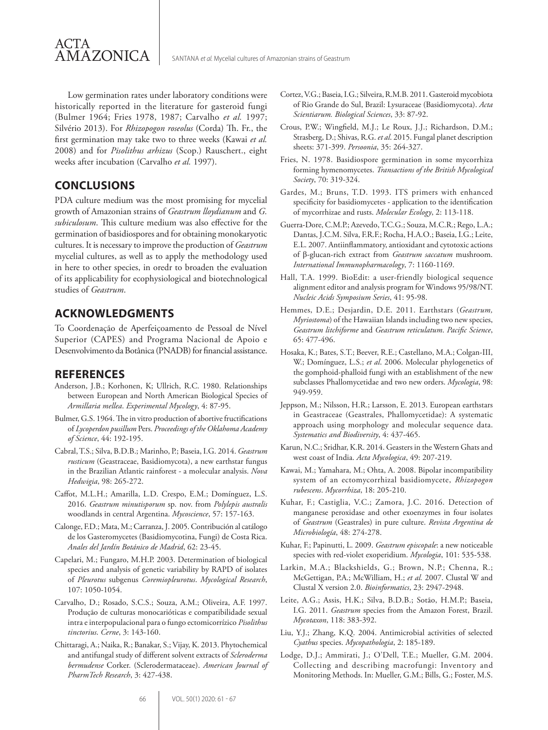

Low germination rates under laboratory conditions were historically reported in the literature for gasteroid fungi (Bulmer 1964; Fries 1978, 1987; Carvalho *et al.* 1997; Silvério 2013). For *Rhizopogon roseolus* (Corda) Th. Fr., the first germination may take two to three weeks (Kawai *et al.* 2008) and for *Pisolithus arhizus* (Scop.) Rauschert., eight weeks after incubation (Carvalho *et al.* 1997).

# **CONCLUSIONS**

PDA culture medium was the most promising for mycelial growth of Amazonian strains of *Geastrum lloydianum* and *G. subiculosum*. This culture medium was also effective for the germination of basidiospores and for obtaining monokaryotic cultures. It is necessary to improve the production of *Geastrum* mycelial cultures, as well as to apply the methodology used in here to other species, in oredr to broaden the evaluation of its applicability for ecophysiological and biotechnological studies of *Geastrum*.

# **ACKNOWLEDGMENTS**

To Coordenação de Aperfeiçoamento de Pessoal de Nível Superior (CAPES) and Programa Nacional de Apoio e Desenvolvimento da Botânica (PNADB) for financial assistance.

## **REFERENCES**

- Anderson, J.B.; Korhonen, K; Ullrich, R.C. 1980. Relationships between European and North American Biological Species of *Armillaria mellea*. *Experimental Mycology*, 4: 87-95.
- Bulmer, G.S. 1964. The in vitro production of abortive fructifications of *Lycoperdon pusillum* Pers. *Proceedings of the Oklahoma Academy of Science*, 44: 192-195.
- Cabral, T.S.; Silva, B.D.B.; Marinho, P.; Baseia, I.G. 2014. *Geastrum rusticum* (Geastraceae, Basidiomycota), a new earthstar fungus in the Brazilian Atlantic rainforest - a molecular analysis. *Nova Hedwigia*, 98: 265-272.
- Caffot, M.L.H.; Amarilla, L.D. Crespo, E.M.; Domínguez, L.S. 2016. *Geastrum minutisporum* sp. nov. from *Polylepis australis* woodlands in central Argentina. *Mycoscience*, 57: 157-163.
- Calonge, F.D.; Mata, M.; Carranza, J. 2005. Contribución al catálogo de los Gasteromycetes (Basidiomycotina, Fungi) de Costa Rica. *Anales del Jardín Botánico de Madrid*, 62: 23-45.
- Capelari, M.; Fungaro, M.H.P. 2003. Determination of biological species and analysis of genetic variability by RAPD of isolates of *Pleurotus* subgenus *Coremiopleurotus*. *Mycological Research*, 107: 1050-1054.
- Carvalho, D.; Rosado, S.C.S.; Souza, A.M.; Oliveira, A.F. 1997. Produção de culturas monocarióticas e compatibilidade sexual intra e interpopulacional para o fungo ectomicorrízico *Pisolithus tinctorius*. *Cerne*, 3: 143-160.
- Chittaragi, A.; Naika, R.; Banakar, S.; Vijay, K. 2013. Phytochemical and antifungal study of different solvent extracts of *Scleroderma bermudense* Corker. (Sclerodermataceae). *American Journal of PharmTech Research*, 3: 427-438.
- Cortez, V.G.; Baseia, I.G.; Silveira, R.M.B. 2011. Gasteroid mycobiota of Rio Grande do Sul, Brazil: Lysuraceae (Basidiomycota). *Acta Scientiarum. Biological Sciences*, 33: 87-92.
- Crous, P.W.; Wingfield, M.J.; Le Roux, J.J.; Richardson, D.M.; Strasberg, D.; Shivas, R.G. *et al*. 2015. Fungal planet description sheets: 371-399. *Persoonia*, 35: 264-327.
- Fries, N. 1978. Basidiospore germination in some mycorrhiza forming hymenomycetes. *Transactions of the British Mycological Society*, 70: 319-324.
- Gardes, M.; Bruns, T.D. 1993. ITS primers with enhanced specificity for basidiomycetes - application to the identification of mycorrhizae and rusts. *Molecular Ecology*, 2: 113-118.
- Guerra-Dore, C.M.P.; Azevedo, T.C.G.; Souza, M.C.R.; Rego, L.A.; Dantas, J.C.M. Silva, F.R.F.; Rocha, H.A.O.; Baseia, I.G.; Leite, E.L. 2007. Antiinflammatory, antioxidant and cytotoxic actions of β-glucan-rich extract from *Geastrum saccatum* mushroom. *International Immunopharmacology*, 7: 1160-1169.
- Hall, T.A. 1999. BioEdit: a user-friendly biological sequence alignment editor and analysis program for Windows 95/98/NT. *Nucleic Acids Symposium Series*, 41: 95-98.
- Hemmes, D.E.; Desjardin, D.E. 2011. Earthstars (*Geastrum, Myriostoma*) of the Hawaiian Islands including two new species, *Geastrum litchiforme* and *Geastrum reticulatum*. *Pacific Science*, 65: 477-496.
- Hosaka, K.; Bates, S.T.; Beever, R.E.; Castellano, M.A.; Colgan-III, W.; Domínguez, L.S.; *et al*. 2006. Molecular phylogenetics of the gomphoid-phalloid fungi with an establishment of the new subclasses Phallomycetidae and two new orders. *Mycologia*, 98: 949-959.
- Jeppson, M.; Nilsson, H.R.; Larsson, E. 2013. European earthstars in Geastraceae (Geastrales, Phallomycetidae): A systematic approach using morphology and molecular sequence data. *Systematics and Biodiversity*, 4: 437-465.
- Karun, N.C.; Sridhar, K.R. 2014. Geasters in the Western Ghats and west coast of India. *Acta Mycologica*, 49: 207-219.
- Kawai, M.; Yamahara, M.; Ohta, A. 2008. Bipolar incompatibility system of an ectomycorrhizal basidiomycete, *Rhizopogon rubescens*. *Mycorrhiza*, 18: 205-210.
- Kuhar, F.; Castiglia, V.C.; Zamora, J.C. 2016. Detection of manganese peroxidase and other exoenzymes in four isolates of *Geastrum* (Geastrales) in pure culture. *Revista Argentina de Microbiología*, 48: 274-278.
- Kuhar, F.; Papinutti, L. 2009. *Geastrum episcopale*: a new noticeable species with red-violet exoperidium. *Mycologia*, 101: 535-538.
- Larkin, M.A.; Blackshields, G.; Brown, N.P.; Chenna, R.; McGettigan, P.A.; McWilliam, H.; *et al.* 2007. Clustal W and Clustal X version 2.0. *Bioinformatics*, 23: 2947-2948.
- Leite, A.G.; Assis, H.K.; Silva, B.D.B.; Sotão, H.M.P.; Baseia, I.G. 2011. *Geastrum* species from the Amazon Forest, Brazil. *Mycotaxon*, 118: 383-392.
- Liu, Y.J.; Zhang, K.Q. 2004. Antimicrobial activities of selected *Cyathus* species. *Mycopathologia*, 2: 185-189.
- Lodge, D.J.; Ammirati, J.; O'Dell, T.E.; Mueller, G.M. 2004. Collecting and describing macrofungi: Inventory and Monitoring Methods. In: Mueller, G.M.; Bills, G.; Foster, M.S.